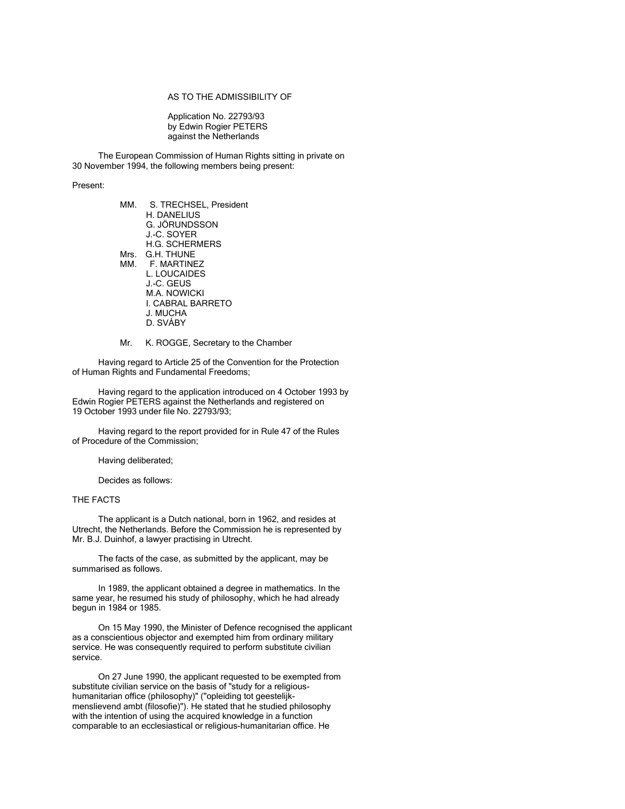## AS TO THE ADMISSIBILITY OF

Application No. 22793/93 by Edwin Rogier PETERS against the Netherlands

The European Commission of Human Rights sitting in private on 30 November 1994, the following members being present:

## Present:

| S. TRECHSEL, President |
|------------------------|
|                        |
|                        |
|                        |
|                        |
|                        |
|                        |
|                        |
|                        |
|                        |
|                        |
|                        |
|                        |
|                        |

#### Mr. K. ROGGE, Secretary to the Chamber

Having regard to Article 25 of the Convention for the Protection of Human Rights and Fundamental Freedoms;

Having regard to the application introduced on 4 October 1993 by Edwin Rogier PETERS against the Netherlands and registered on 19 October 1993 under file No. 22793/93;

Having regard to the report provided for in Rule 47 of the Rules of Procedure of the Commission;

Having deliberated;

Decides as follows:

# THE FACTS

The applicant is a Dutch national, born in 1962, and resides at Utrecht, the Netherlands. Before the Commission he is represented by Mr. B.J. Duinhof, a lawyer practising in Utrecht.

The facts of the case, as submitted by the applicant, may be summarised as follows.

In 1989, the applicant obtained a degree in mathematics. In the same year, he resumed his study of philosophy, which he had already begun in 1984 or 1985.

On 15 May 1990, the Minister of Defence recognised the applicant as a conscientious objector and exempted him from ordinary military service. He was consequently required to perform substitute civilian service.

On 27 June 1990, the applicant requested to be exempted from substitute civilian service on the basis of "study for a religioushumanitarian office (philosophy)" ("opleiding tot geestelijkmenslievend ambt (filosofie)"). He stated that he studied philosophy with the intention of using the acquired knowledge in a function comparable to an ecclesiastical or religious-humanitarian office. He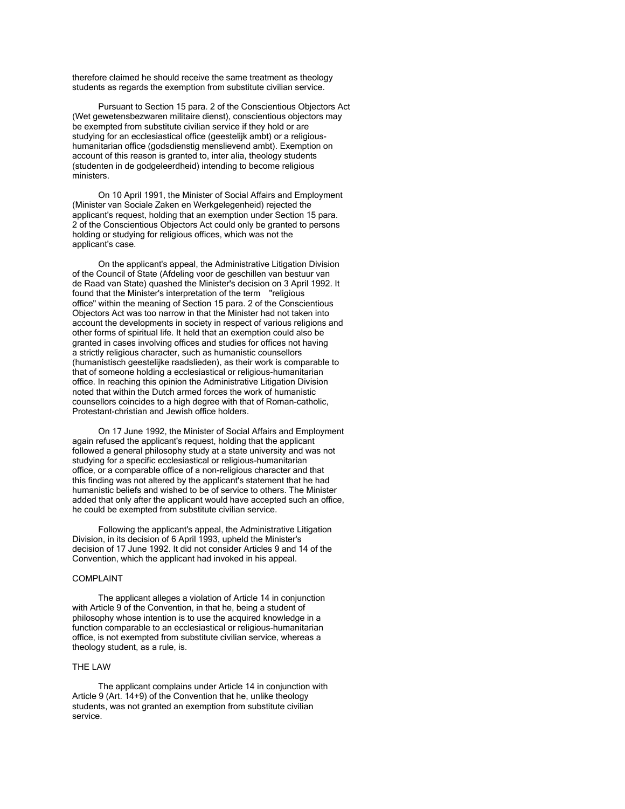therefore claimed he should receive the same treatment as theology students as regards the exemption from substitute civilian service.

Pursuant to Section 15 para. 2 of the Conscientious Objectors Act (Wet gewetensbezwaren militaire dienst), conscientious objectors may be exempted from substitute civilian service if they hold or are studying for an ecclesiastical office (geestelijk ambt) or a religioushumanitarian office (godsdienstig menslievend ambt). Exemption on account of this reason is granted to, inter alia, theology students (studenten in de godgeleerdheid) intending to become religious ministers.

On 10 April 1991, the Minister of Social Affairs and Employment (Minister van Sociale Zaken en Werkgelegenheid) rejected the applicant's request, holding that an exemption under Section 15 para. 2 of the Conscientious Objectors Act could only be granted to persons holding or studying for religious offices, which was not the applicant's case.

On the applicant's appeal, the Administrative Litigation Division of the Council of State (Afdeling voor de geschillen van bestuur van de Raad van State) quashed the Minister's decision on 3 April 1992. It found that the Minister's interpretation of the term "religious office" within the meaning of Section 15 para. 2 of the Conscientious Objectors Act was too narrow in that the Minister had not taken into account the developments in society in respect of various religions and other forms of spiritual life. It held that an exemption could also be granted in cases involving offices and studies for offices not having a strictly religious character, such as humanistic counsellors (humanistisch geestelijke raadslieden), as their work is comparable to that of someone holding a ecclesiastical or religious-humanitarian office. In reaching this opinion the Administrative Litigation Division noted that within the Dutch armed forces the work of humanistic counsellors coincides to a high degree with that of Roman-catholic, Protestant-christian and Jewish office holders.

On 17 June 1992, the Minister of Social Affairs and Employment again refused the applicant's request, holding that the applicant followed a general philosophy study at a state university and was not studying for a specific ecclesiastical or religious-humanitarian office, or a comparable office of a non-religious character and that this finding was not altered by the applicant's statement that he had humanistic beliefs and wished to be of service to others. The Minister added that only after the applicant would have accepted such an office, he could be exempted from substitute civilian service.

Following the applicant's appeal, the Administrative Litigation Division, in its decision of 6 April 1993, upheld the Minister's decision of 17 June 1992. It did not consider Articles 9 and 14 of the Convention, which the applicant had invoked in his appeal.

## COMPLAINT

The applicant alleges a violation of Article 14 in conjunction with Article 9 of the Convention, in that he, being a student of philosophy whose intention is to use the acquired knowledge in a function comparable to an ecclesiastical or religious-humanitarian office, is not exempted from substitute civilian service, whereas a theology student, as a rule, is.

## THE LAW

The applicant complains under Article 14 in conjunction with Article 9 (Art. 14+9) of the Convention that he, unlike theology students, was not granted an exemption from substitute civilian service.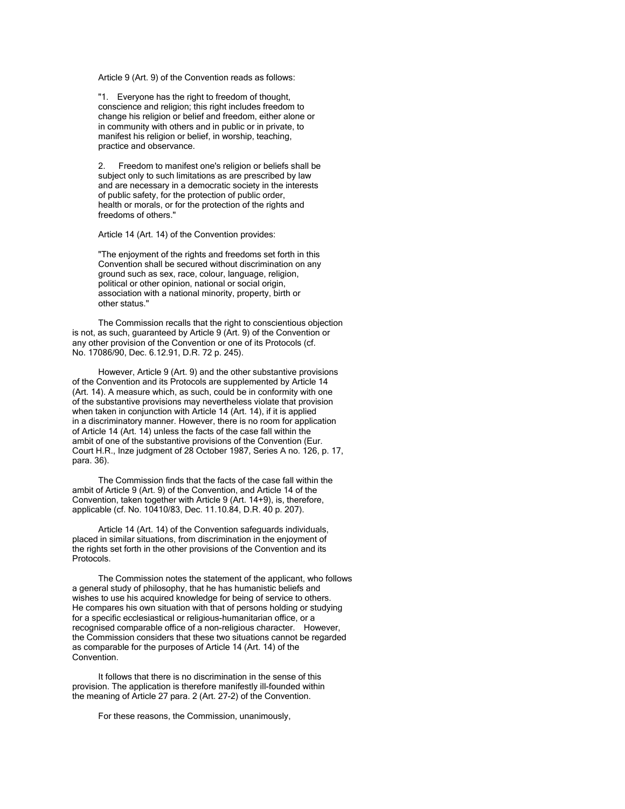Article 9 (Art. 9) of the Convention reads as follows:

"1. Everyone has the right to freedom of thought, conscience and religion; this right includes freedom to change his religion or belief and freedom, either alone or in community with others and in public or in private, to manifest his religion or belief, in worship, teaching, practice and observance.

2. Freedom to manifest one's religion or beliefs shall be subject only to such limitations as are prescribed by law and are necessary in a democratic society in the interests of public safety, for the protection of public order, health or morals, or for the protection of the rights and freedoms of others."

Article 14 (Art. 14) of the Convention provides:

"The enjoyment of the rights and freedoms set forth in this Convention shall be secured without discrimination on any ground such as sex, race, colour, language, religion, political or other opinion, national or social origin. association with a national minority, property, birth or other status."

The Commission recalls that the right to conscientious objection is not, as such, guaranteed by Article 9 (Art. 9) of the Convention or any other provision of the Convention or one of its Protocols (cf. No. 17086/90, Dec. 6.12.91, D.R. 72 p. 245).

However, Article 9 (Art. 9) and the other substantive provisions of the Convention and its Protocols are supplemented by Article 14 (Art. 14). A measure which, as such, could be in conformity with one of the substantive provisions may nevertheless violate that provision when taken in conjunction with Article 14 (Art. 14), if it is applied in a discriminatory manner. However, there is no room for application of Article 14 (Art. 14) unless the facts of the case fall within the ambit of one of the substantive provisions of the Convention (Eur. Court H.R., Inze judgment of 28 October 1987, Series A no. 126, p. 17, para. 36).

The Commission finds that the facts of the case fall within the ambit of Article 9 (Art. 9) of the Convention, and Article 14 of the Convention, taken together with Article 9 (Art. 14+9), is, therefore, applicable (cf. No. 10410/83, Dec. 11.10.84, D.R. 40 p. 207).

Article 14 (Art. 14) of the Convention safeguards individuals, placed in similar situations, from discrimination in the enjoyment of the rights set forth in the other provisions of the Convention and its Protocols.

The Commission notes the statement of the applicant, who follows a general study of philosophy, that he has humanistic beliefs and wishes to use his acquired knowledge for being of service to others. He compares his own situation with that of persons holding or studying for a specific ecclesiastical or religious-humanitarian office, or a recognised comparable office of a non-religious character. However, the Commission considers that these two situations cannot be regarded as comparable for the purposes of Article 14 (Art. 14) of the Convention.

It follows that there is no discrimination in the sense of this provision. The application is therefore manifestly ill-founded within the meaning of Article 27 para. 2 (Art. 27-2) of the Convention.

For these reasons, the Commission, unanimously,